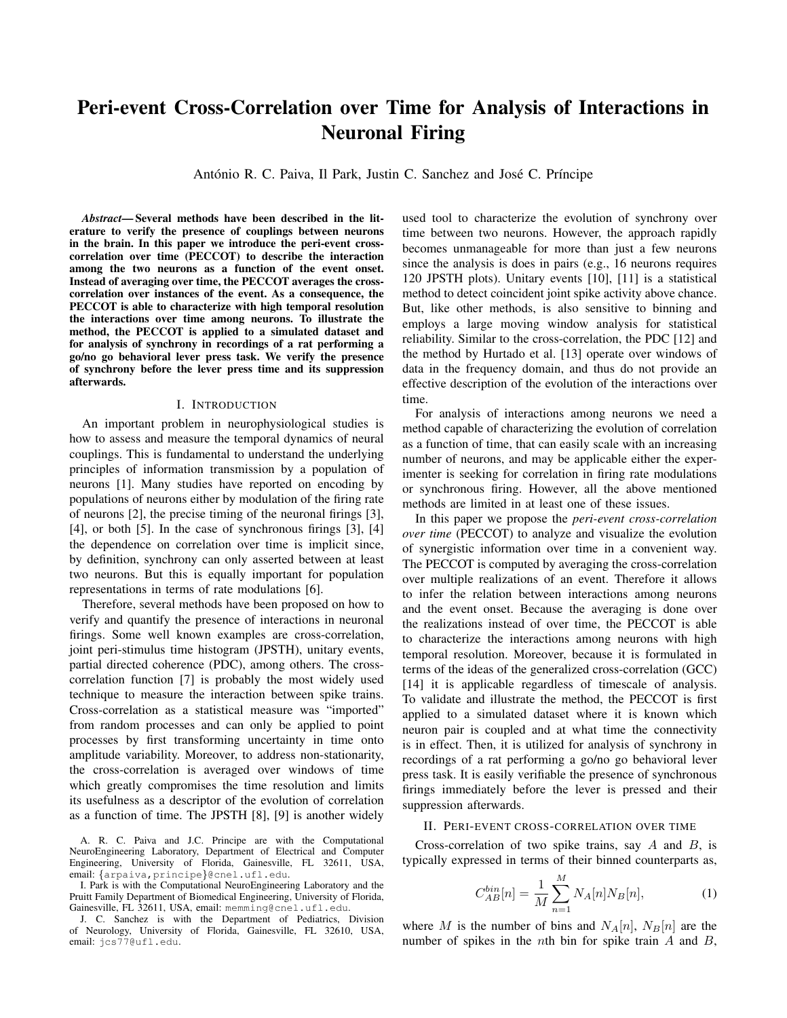# Peri-event Cross-Correlation over Time for Analysis of Interactions in Neuronal Firing

António R. C. Paiva, Il Park, Justin C. Sanchez and José C. Príncipe

*Abstract*— Several methods have been described in the literature to verify the presence of couplings between neurons in the brain. In this paper we introduce the peri-event crosscorrelation over time (PECCOT) to describe the interaction among the two neurons as a function of the event onset. Instead of averaging over time, the PECCOT averages the crosscorrelation over instances of the event. As a consequence, the PECCOT is able to characterize with high temporal resolution the interactions over time among neurons. To illustrate the method, the PECCOT is applied to a simulated dataset and for analysis of synchrony in recordings of a rat performing a go/no go behavioral lever press task. We verify the presence of synchrony before the lever press time and its suppression afterwards.

#### I. INTRODUCTION

An important problem in neurophysiological studies is how to assess and measure the temporal dynamics of neural couplings. This is fundamental to understand the underlying principles of information transmission by a population of neurons [1]. Many studies have reported on encoding by populations of neurons either by modulation of the firing rate of neurons [2], the precise timing of the neuronal firings [3], [4], or both [5]. In the case of synchronous firings [3], [4] the dependence on correlation over time is implicit since, by definition, synchrony can only asserted between at least two neurons. But this is equally important for population representations in terms of rate modulations [6].

Therefore, several methods have been proposed on how to verify and quantify the presence of interactions in neuronal firings. Some well known examples are cross-correlation, joint peri-stimulus time histogram (JPSTH), unitary events, partial directed coherence (PDC), among others. The crosscorrelation function [7] is probably the most widely used technique to measure the interaction between spike trains. Cross-correlation as a statistical measure was "imported" from random processes and can only be applied to point processes by first transforming uncertainty in time onto amplitude variability. Moreover, to address non-stationarity, the cross-correlation is averaged over windows of time which greatly compromises the time resolution and limits its usefulness as a descriptor of the evolution of correlation as a function of time. The JPSTH [8], [9] is another widely

A. R. C. Paiva and J.C. Principe are with the Computational NeuroEngineering Laboratory, Department of Electrical and Computer Engineering, University of Florida, Gainesville, FL 32611, USA, email: {arpaiva,principe}@cnel.ufl.edu.

I. Park is with the Computational NeuroEngineering Laboratory and the Pruitt Family Department of Biomedical Engineering, University of Florida, Gainesville, FL 32611, USA, email: memming@cnel.ufl.edu.

J. C. Sanchez is with the Department of Pediatrics, Division of Neurology, University of Florida, Gainesville, FL 32610, USA, email: jcs77@ufl.edu.

used tool to characterize the evolution of synchrony over time between two neurons. However, the approach rapidly becomes unmanageable for more than just a few neurons since the analysis is does in pairs (e.g., 16 neurons requires 120 JPSTH plots). Unitary events [10], [11] is a statistical method to detect coincident joint spike activity above chance. But, like other methods, is also sensitive to binning and employs a large moving window analysis for statistical reliability. Similar to the cross-correlation, the PDC [12] and the method by Hurtado et al. [13] operate over windows of data in the frequency domain, and thus do not provide an effective description of the evolution of the interactions over time.

For analysis of interactions among neurons we need a method capable of characterizing the evolution of correlation as a function of time, that can easily scale with an increasing number of neurons, and may be applicable either the experimenter is seeking for correlation in firing rate modulations or synchronous firing. However, all the above mentioned methods are limited in at least one of these issues.

In this paper we propose the *peri-event cross-correlation over time* (PECCOT) to analyze and visualize the evolution of synergistic information over time in a convenient way. The PECCOT is computed by averaging the cross-correlation over multiple realizations of an event. Therefore it allows to infer the relation between interactions among neurons and the event onset. Because the averaging is done over the realizations instead of over time, the PECCOT is able to characterize the interactions among neurons with high temporal resolution. Moreover, because it is formulated in terms of the ideas of the generalized cross-correlation (GCC) [14] it is applicable regardless of timescale of analysis. To validate and illustrate the method, the PECCOT is first applied to a simulated dataset where it is known which neuron pair is coupled and at what time the connectivity is in effect. Then, it is utilized for analysis of synchrony in recordings of a rat performing a go/no go behavioral lever press task. It is easily verifiable the presence of synchronous firings immediately before the lever is pressed and their suppression afterwards.

#### II. PERI-EVENT CROSS-CORRELATION OVER TIME

Cross-correlation of two spike trains, say A and B, is typically expressed in terms of their binned counterparts as,

$$
C_{AB}^{bin}[n] = \frac{1}{M} \sum_{n=1}^{M} N_A[n] N_B[n], \tag{1}
$$

where M is the number of bins and  $N_A[n], N_B[n]$  are the number of spikes in the *n*th bin for spike train  $A$  and  $B$ ,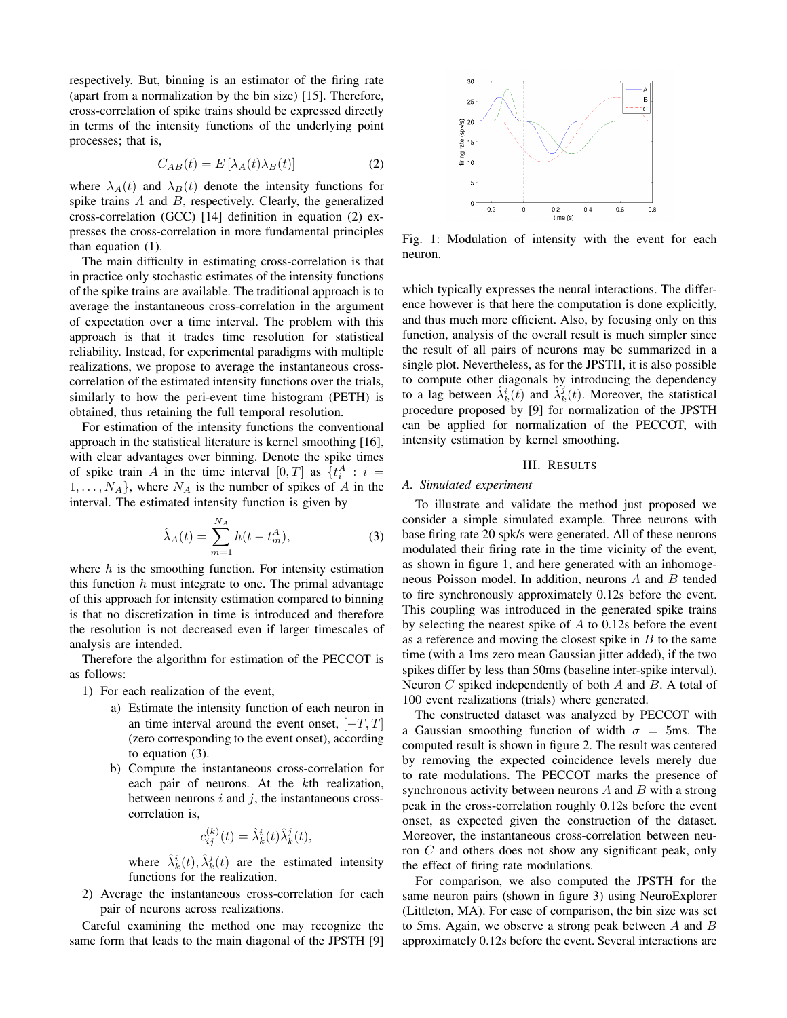respectively. But, binning is an estimator of the firing rate (apart from a normalization by the bin size) [15]. Therefore, cross-correlation of spike trains should be expressed directly in terms of the intensity functions of the underlying point processes; that is,

$$
C_{AB}(t) = E\left[\lambda_A(t)\lambda_B(t)\right] \tag{2}
$$

where  $\lambda_A(t)$  and  $\lambda_B(t)$  denote the intensity functions for spike trains A and B, respectively. Clearly, the generalized cross-correlation (GCC) [14] definition in equation (2) expresses the cross-correlation in more fundamental principles than equation (1).

The main difficulty in estimating cross-correlation is that in practice only stochastic estimates of the intensity functions of the spike trains are available. The traditional approach is to average the instantaneous cross-correlation in the argument of expectation over a time interval. The problem with this approach is that it trades time resolution for statistical reliability. Instead, for experimental paradigms with multiple realizations, we propose to average the instantaneous crosscorrelation of the estimated intensity functions over the trials, similarly to how the peri-event time histogram (PETH) is obtained, thus retaining the full temporal resolution.

For estimation of the intensity functions the conventional approach in the statistical literature is kernel smoothing [16], with clear advantages over binning. Denote the spike times of spike train A in the time interval  $[0,T]$  as  $\{t_i^A : i =$  $1, \ldots, N_A$ , where  $N_A$  is the number of spikes of A in the interval. The estimated intensity function is given by

$$
\hat{\lambda}_A(t) = \sum_{m=1}^{N_A} h(t - t_m^A),
$$
\n(3)

where  $h$  is the smoothing function. For intensity estimation this function  $h$  must integrate to one. The primal advantage of this approach for intensity estimation compared to binning is that no discretization in time is introduced and therefore the resolution is not decreased even if larger timescales of analysis are intended.

Therefore the algorithm for estimation of the PECCOT is as follows:

- 1) For each realization of the event,
	- a) Estimate the intensity function of each neuron in an time interval around the event onset,  $[-T, T]$ (zero corresponding to the event onset), according to equation (3).
	- b) Compute the instantaneous cross-correlation for each pair of neurons. At the kth realization, between neurons  $i$  and  $j$ , the instantaneous crosscorrelation is,

$$
c_{ij}^{(k)}(t) = \hat{\lambda}_k^i(t)\hat{\lambda}_k^j(t),
$$

where  $\hat{\lambda}_k^i(t), \hat{\lambda}_k^j(t)$  are the estimated intensity functions for the realization.

2) Average the instantaneous cross-correlation for each pair of neurons across realizations.

Careful examining the method one may recognize the same form that leads to the main diagonal of the JPSTH [9]



Fig. 1: Modulation of intensity with the event for each neuron.

which typically expresses the neural interactions. The difference however is that here the computation is done explicitly, and thus much more efficient. Also, by focusing only on this function, analysis of the overall result is much simpler since the result of all pairs of neurons may be summarized in a single plot. Nevertheless, as for the JPSTH, it is also possible to compute other diagonals by introducing the dependency to a lag between  $\hat{\lambda}_k^i(t)$  and  $\hat{\lambda}_k^j(t)$ . Moreover, the statistical procedure proposed by [9] for normalization of the JPSTH can be applied for normalization of the PECCOT, with intensity estimation by kernel smoothing.

## III. RESULTS

## *A. Simulated experiment*

To illustrate and validate the method just proposed we consider a simple simulated example. Three neurons with base firing rate 20 spk/s were generated. All of these neurons modulated their firing rate in the time vicinity of the event, as shown in figure 1, and here generated with an inhomogeneous Poisson model. In addition, neurons A and B tended to fire synchronously approximately 0.12s before the event. This coupling was introduced in the generated spike trains by selecting the nearest spike of A to 0.12s before the event as a reference and moving the closest spike in  $B$  to the same time (with a 1ms zero mean Gaussian jitter added), if the two spikes differ by less than 50ms (baseline inter-spike interval). Neuron C spiked independently of both A and B. A total of 100 event realizations (trials) where generated.

The constructed dataset was analyzed by PECCOT with a Gaussian smoothing function of width  $\sigma = 5$ ms. The computed result is shown in figure 2. The result was centered by removing the expected coincidence levels merely due to rate modulations. The PECCOT marks the presence of synchronous activity between neurons  $A$  and  $B$  with a strong peak in the cross-correlation roughly 0.12s before the event onset, as expected given the construction of the dataset. Moreover, the instantaneous cross-correlation between neuron C and others does not show any significant peak, only the effect of firing rate modulations.

For comparison, we also computed the JPSTH for the same neuron pairs (shown in figure 3) using NeuroExplorer (Littleton, MA). For ease of comparison, the bin size was set to 5ms. Again, we observe a strong peak between  $A$  and  $B$ approximately 0.12s before the event. Several interactions are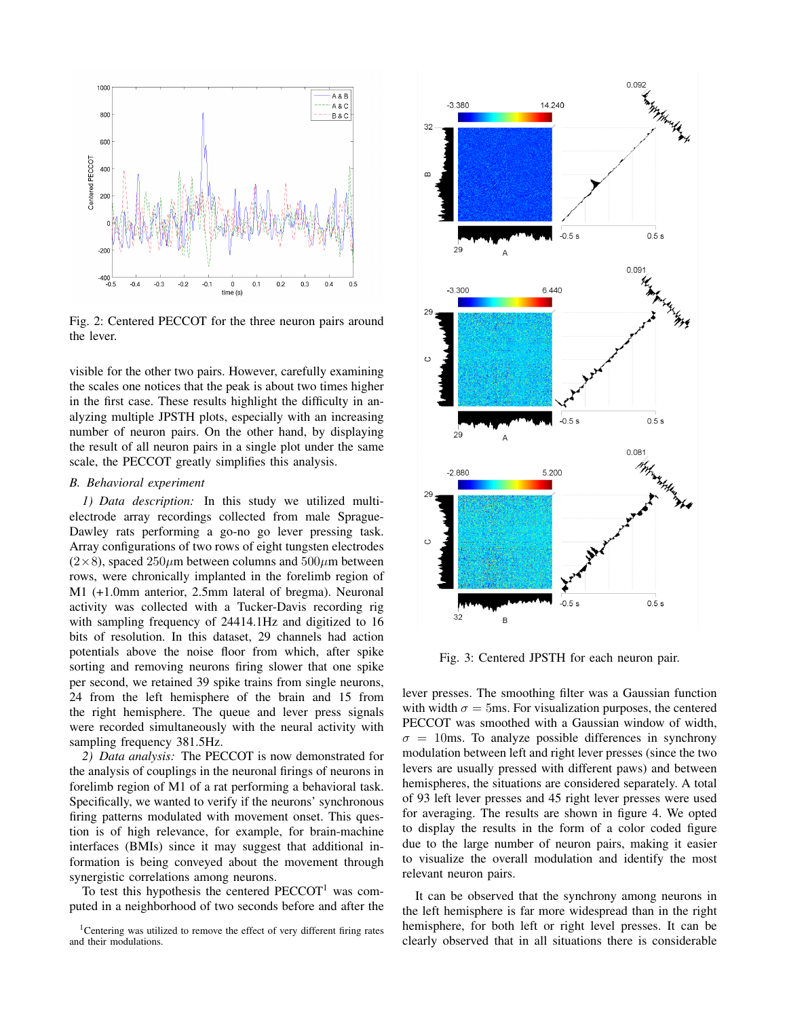

Fig. 2: Centered PECCOT for the three neuron pairs around the lever.

visible for the other two pairs. However, carefully examining the scales one notices that the peak is about two times higher in the first case. These results highlight the difficulty in analyzing multiple JPSTH plots, especially with an increasing number of neuron pairs. On the other hand, by displaying the result of all neuron pairs in a single plot under the same scale, the PECCOT greatly simplifies this analysis.

## *B. Behavioral experiment*

*1) Data description:* In this study we utilized multielectrode array recordings collected from male Sprague-Dawley rats performing a go-no go lever pressing task. Array configurations of two rows of eight tungsten electrodes  $(2\times8)$ , spaced  $250\mu$ m between columns and  $500\mu$ m between rows, were chronically implanted in the forelimb region of M1 (+1.0mm anterior, 2.5mm lateral of bregma). Neuronal activity was collected with a Tucker-Davis recording rig with sampling frequency of 24414.1Hz and digitized to 16 bits of resolution. In this dataset, 29 channels had action potentials above the noise floor from which, after spike sorting and removing neurons firing slower that one spike per second, we retained 39 spike trains from single neurons, 24 from the left hemisphere of the brain and 15 from the right hemisphere. The queue and lever press signals were recorded simultaneously with the neural activity with sampling frequency 381.5Hz.

*2) Data analysis:* The PECCOT is now demonstrated for the analysis of couplings in the neuronal firings of neurons in forelimb region of M1 of a rat performing a behavioral task. Specifically, we wanted to verify if the neurons' synchronous firing patterns modulated with movement onset. This question is of high relevance, for example, for brain-machine interfaces (BMIs) since it may suggest that additional information is being conveyed about the movement through synergistic correlations among neurons.

To test this hypothesis the centered  $\text{PECCOT}^1$  was computed in a neighborhood of two seconds before and after the



Fig. 3: Centered JPSTH for each neuron pair.

lever presses. The smoothing filter was a Gaussian function with width  $\sigma = 5$ ms. For visualization purposes, the centered PECCOT was smoothed with a Gaussian window of width,  $\sigma = 10$ ms. To analyze possible differences in synchrony modulation between left and right lever presses (since the two levers are usually pressed with different paws) and between hemispheres, the situations are considered separately. A total of 93 left lever presses and 45 right lever presses were used for averaging. The results are shown in figure 4. We opted to display the results in the form of a color coded figure due to the large number of neuron pairs, making it easier to visualize the overall modulation and identify the most relevant neuron pairs.

It can be observed that the synchrony among neurons in the left hemisphere is far more widespread than in the right hemisphere, for both left or right level presses. It can be clearly observed that in all situations there is considerable

<sup>&</sup>lt;sup>1</sup>Centering was utilized to remove the effect of very different firing rates and their modulations.